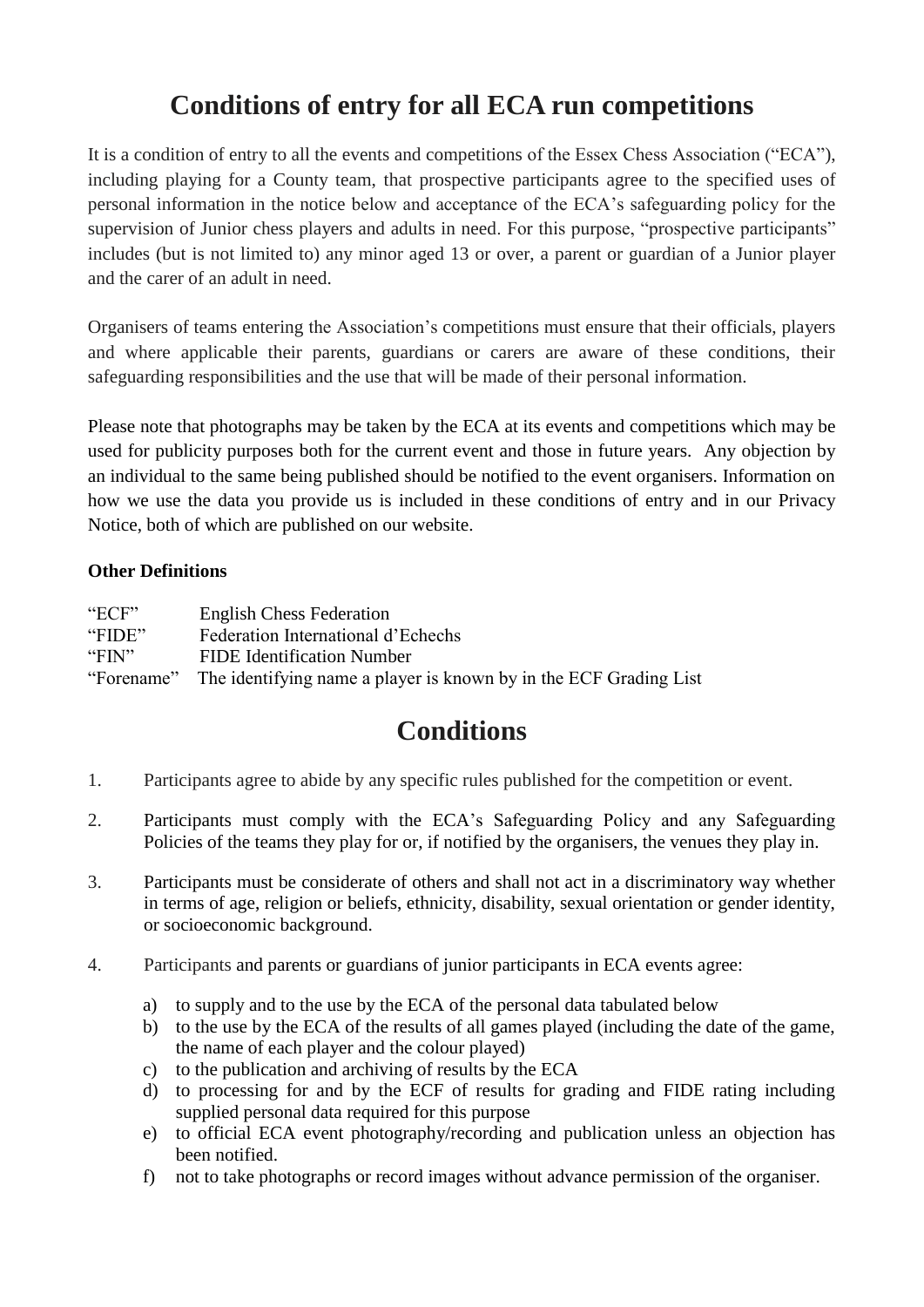# **Conditions of entry for all ECA run competitions**

It is a condition of entry to all the events and competitions of the Essex Chess Association ("ECA"), including playing for a County team, that prospective participants agree to the specified uses of personal information in the notice below and acceptance of the ECA's safeguarding policy for the supervision of Junior chess players and adults in need. For this purpose, "prospective participants" includes (but is not limited to) any minor aged 13 or over, a parent or guardian of a Junior player and the carer of an adult in need.

Organisers of teams entering the Association's competitions must ensure that their officials, players and where applicable their parents, guardians or carers are aware of these conditions, their safeguarding responsibilities and the use that will be made of their personal information.

Please note that photographs may be taken by the ECA at its events and competitions which may be used for publicity purposes both for the current event and those in future years. Any objection by an individual to the same being published should be notified to the event organisers. Information on how we use the data you provide us is included in these conditions of entry and in our Privacy Notice, both of which are published on our website.

## **Other Definitions**

| "ECF"      | <b>English Chess Federation</b>                                   |
|------------|-------------------------------------------------------------------|
| "FIDE"     | Federation International d'Echechs                                |
| "FIN"      | <b>FIDE</b> Identification Number                                 |
| "Forename" | The identifying name a player is known by in the ECF Grading List |

# **Conditions**

- 1. Participants agree to abide by any specific rules published for the competition or event.
- 2. Participants must comply with the ECA's Safeguarding Policy and any Safeguarding Policies of the teams they play for or, if notified by the organisers, the venues they play in.
- 3. Participants must be considerate of others and shall not act in a discriminatory way whether in terms of age, religion or beliefs, ethnicity, disability, sexual orientation or gender identity, or socioeconomic background.
- 4. Participants and parents or guardians of junior participants in ECA events agree:
	- a) to supply and to the use by the ECA of the personal data tabulated below
	- b) to the use by the ECA of the results of all games played (including the date of the game, the name of each player and the colour played)
	- c) to the publication and archiving of results by the ECA
	- d) to processing for and by the ECF of results for grading and FIDE rating including supplied personal data required for this purpose
	- e) to official ECA event photography/recording and publication unless an objection has been notified.
	- f) not to take photographs or record images without advance permission of the organiser.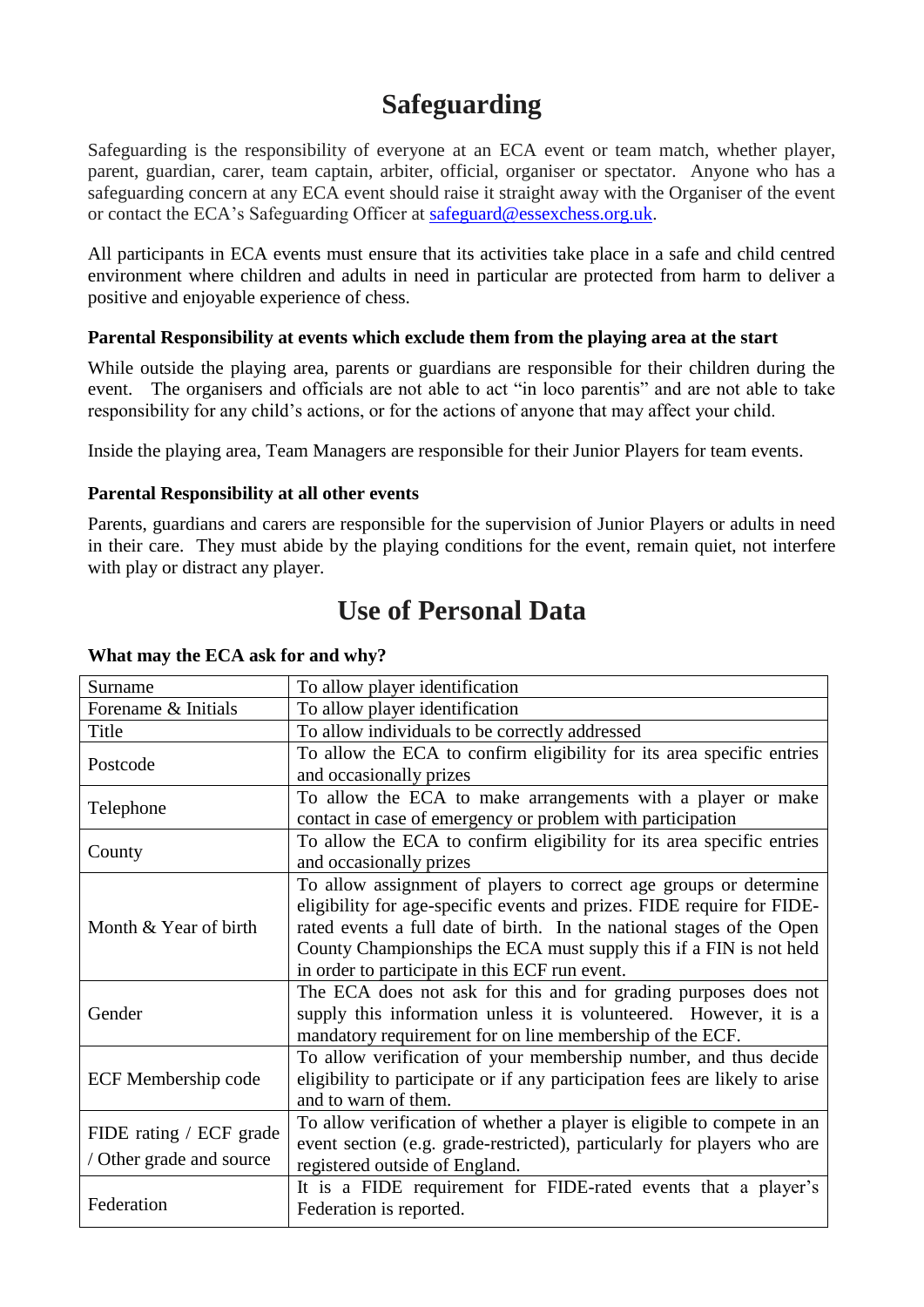# **Safeguarding**

Safeguarding is the responsibility of everyone at an ECA event or team match, whether player, parent, guardian, carer, team captain, arbiter, official, organiser or spectator. Anyone who has a safeguarding concern at any ECA event should raise it straight away with the Organiser of the event or contact the ECA's Safeguarding Officer at [safeguard@essexchess.org.uk.](mailto:safeguard@essexchess.org.uk)

All participants in ECA events must ensure that its activities take place in a safe and child centred environment where children and adults in need in particular are protected from harm to deliver a positive and enjoyable experience of chess.

## **Parental Responsibility at events which exclude them from the playing area at the start**

While outside the playing area, parents or guardians are responsible for their children during the event. The organisers and officials are not able to act "in loco parentis" and are not able to take responsibility for any child's actions, or for the actions of anyone that may affect your child.

Inside the playing area, Team Managers are responsible for their Junior Players for team events.

#### **Parental Responsibility at all other events**

Parents, guardians and carers are responsible for the supervision of Junior Players or adults in need in their care. They must abide by the playing conditions for the event, remain quiet, not interfere with play or distract any player.

# **Use of Personal Data**

| Surname                    | To allow player identification                                              |
|----------------------------|-----------------------------------------------------------------------------|
| Forename & Initials        | To allow player identification                                              |
| Title                      | To allow individuals to be correctly addressed                              |
| Postcode                   | To allow the ECA to confirm eligibility for its area specific entries       |
|                            | and occasionally prizes                                                     |
| Telephone                  | To allow the ECA to make arrangements with a player or make                 |
|                            | contact in case of emergency or problem with participation                  |
| County                     | To allow the ECA to confirm eligibility for its area specific entries       |
|                            | and occasionally prizes                                                     |
|                            | To allow assignment of players to correct age groups or determine           |
|                            | eligibility for age-specific events and prizes. FIDE require for FIDE-      |
| Month & Year of birth      | rated events a full date of birth. In the national stages of the Open       |
|                            | County Championships the ECA must supply this if a FIN is not held          |
|                            | in order to participate in this ECF run event.                              |
|                            | The ECA does not ask for this and for grading purposes does not             |
| Gender                     | supply this information unless it is volunteered. However, it is a          |
|                            | mandatory requirement for on line membership of the ECF.                    |
|                            | To allow verification of your membership number, and thus decide            |
| <b>ECF Membership code</b> | eligibility to participate or if any participation fees are likely to arise |
|                            | and to warn of them.                                                        |
| FIDE rating / ECF grade    | To allow verification of whether a player is eligible to compete in an      |
|                            | event section (e.g. grade-restricted), particularly for players who are     |
| / Other grade and source   | registered outside of England.                                              |
|                            | It is a FIDE requirement for FIDE-rated events that a player's              |
| Federation                 | Federation is reported.                                                     |

#### **What may the ECA ask for and why?**